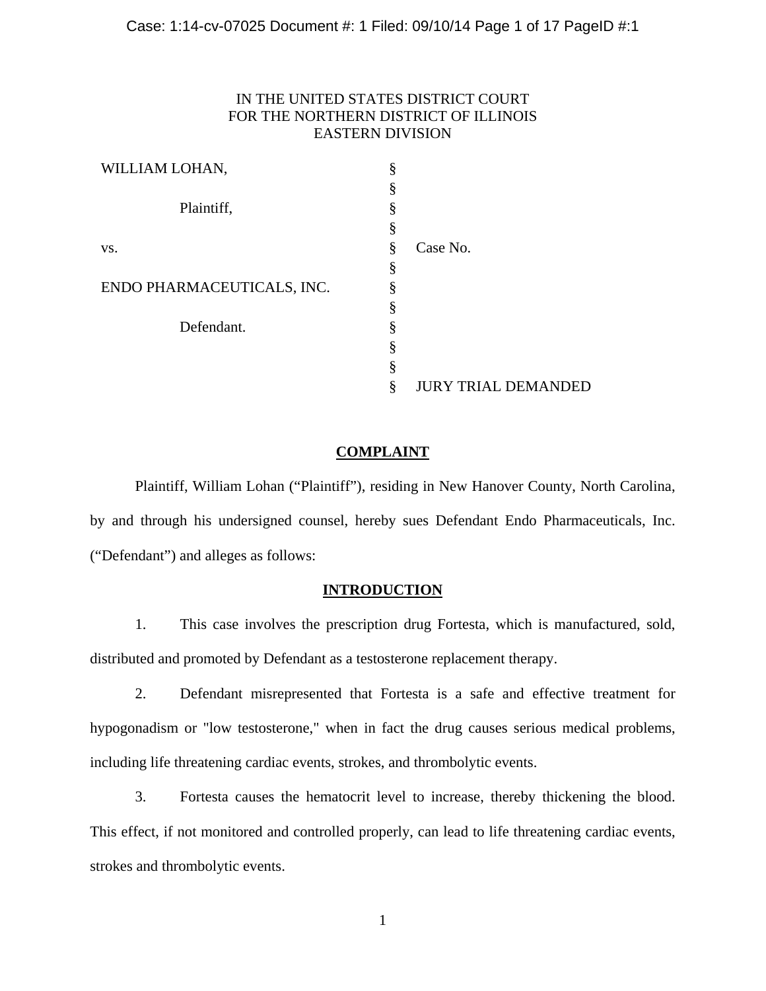# IN THE UNITED STATES DISTRICT COURT FOR THE NORTHERN DISTRICT OF ILLINOIS EASTERN DIVISION

| WILLIAM LOHAN,             | §  |                            |
|----------------------------|----|----------------------------|
|                            | §  |                            |
| Plaintiff,                 | §  |                            |
|                            | \$ |                            |
| VS.                        | §  | Case No.                   |
|                            | §  |                            |
| ENDO PHARMACEUTICALS, INC. | §  |                            |
|                            | §  |                            |
| Defendant.                 | §  |                            |
|                            | §  |                            |
|                            | §  |                            |
|                            | ş  | <b>JURY TRIAL DEMANDED</b> |

# **COMPLAINT**

Plaintiff, William Lohan ("Plaintiff"), residing in New Hanover County, North Carolina, by and through his undersigned counsel, hereby sues Defendant Endo Pharmaceuticals, Inc. ("Defendant") and alleges as follows:

# **INTRODUCTION**

1. This case involves the prescription drug Fortesta, which is manufactured, sold, distributed and promoted by Defendant as a testosterone replacement therapy.

2. Defendant misrepresented that Fortesta is a safe and effective treatment for hypogonadism or "low testosterone," when in fact the drug causes serious medical problems, including life threatening cardiac events, strokes, and thrombolytic events.

3. Fortesta causes the hematocrit level to increase, thereby thickening the blood. This effect, if not monitored and controlled properly, can lead to life threatening cardiac events, strokes and thrombolytic events.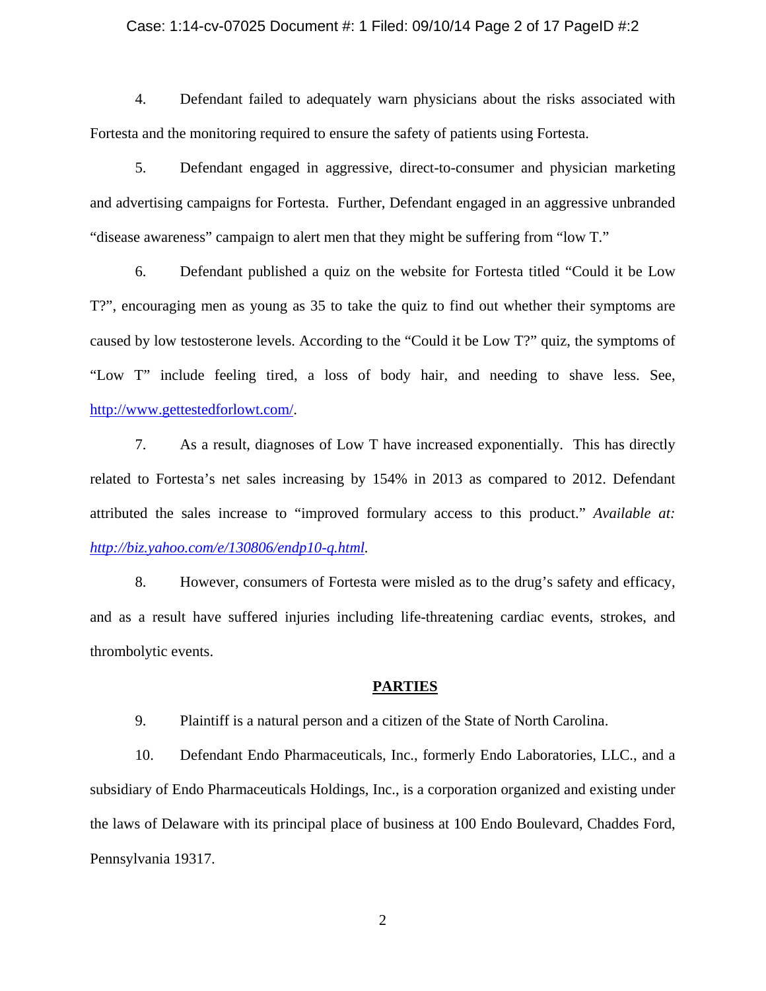#### Case: 1:14-cv-07025 Document #: 1 Filed: 09/10/14 Page 2 of 17 PageID #:2

4. Defendant failed to adequately warn physicians about the risks associated with Fortesta and the monitoring required to ensure the safety of patients using Fortesta.

5. Defendant engaged in aggressive, direct-to-consumer and physician marketing and advertising campaigns for Fortesta. Further, Defendant engaged in an aggressive unbranded "disease awareness" campaign to alert men that they might be suffering from "low T."

6. Defendant published a quiz on the website for Fortesta titled "Could it be Low T?", encouraging men as young as 35 to take the quiz to find out whether their symptoms are caused by low testosterone levels. According to the "Could it be Low T?" quiz, the symptoms of "Low T" include feeling tired, a loss of body hair, and needing to shave less. See, http://www.gettestedforlowt.com/.

7. As a result, diagnoses of Low T have increased exponentially. This has directly related to Fortesta's net sales increasing by 154% in 2013 as compared to 2012. Defendant attributed the sales increase to "improved formulary access to this product." *Available at: http://biz.yahoo.com/e/130806/endp10-q.html.*

8. However, consumers of Fortesta were misled as to the drug's safety and efficacy, and as a result have suffered injuries including life-threatening cardiac events, strokes, and thrombolytic events.

### **PARTIES**

9. Plaintiff is a natural person and a citizen of the State of North Carolina.

10. Defendant Endo Pharmaceuticals, Inc., formerly Endo Laboratories, LLC., and a subsidiary of Endo Pharmaceuticals Holdings, Inc., is a corporation organized and existing under the laws of Delaware with its principal place of business at 100 Endo Boulevard, Chaddes Ford, Pennsylvania 19317.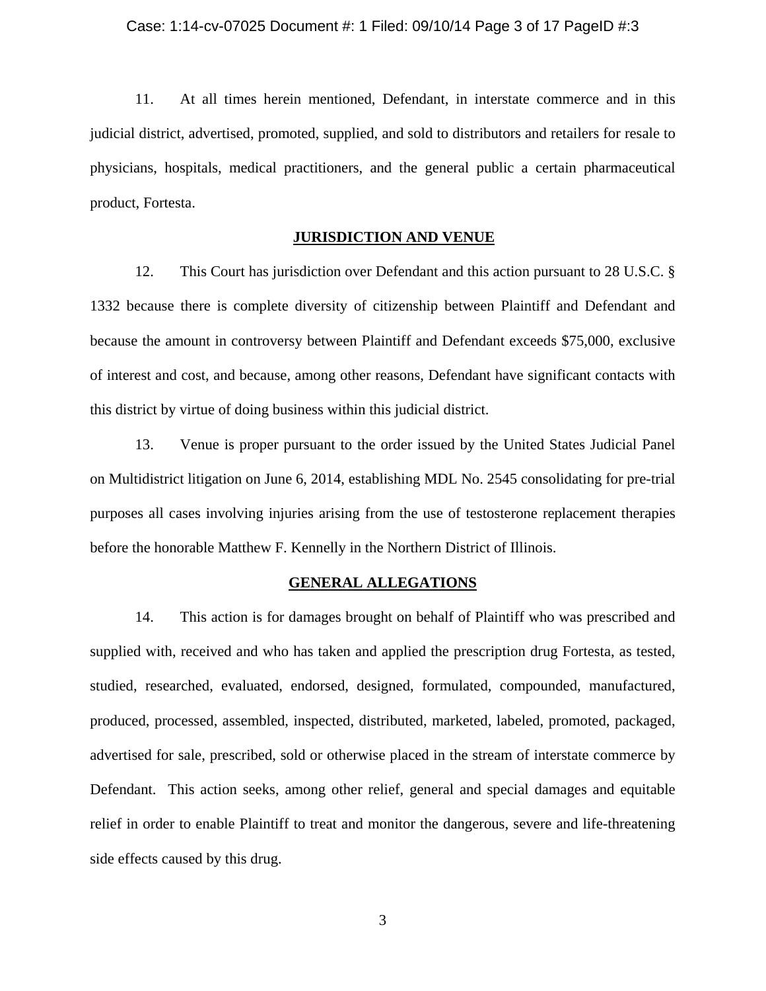#### Case: 1:14-cv-07025 Document #: 1 Filed: 09/10/14 Page 3 of 17 PageID #:3

11. At all times herein mentioned, Defendant, in interstate commerce and in this judicial district, advertised, promoted, supplied, and sold to distributors and retailers for resale to physicians, hospitals, medical practitioners, and the general public a certain pharmaceutical product, Fortesta.

### **JURISDICTION AND VENUE**

12. This Court has jurisdiction over Defendant and this action pursuant to 28 U.S.C. § 1332 because there is complete diversity of citizenship between Plaintiff and Defendant and because the amount in controversy between Plaintiff and Defendant exceeds \$75,000, exclusive of interest and cost, and because, among other reasons, Defendant have significant contacts with this district by virtue of doing business within this judicial district.

13. Venue is proper pursuant to the order issued by the United States Judicial Panel on Multidistrict litigation on June 6, 2014, establishing MDL No. 2545 consolidating for pre-trial purposes all cases involving injuries arising from the use of testosterone replacement therapies before the honorable Matthew F. Kennelly in the Northern District of Illinois.

### **GENERAL ALLEGATIONS**

14. This action is for damages brought on behalf of Plaintiff who was prescribed and supplied with, received and who has taken and applied the prescription drug Fortesta, as tested, studied, researched, evaluated, endorsed, designed, formulated, compounded, manufactured, produced, processed, assembled, inspected, distributed, marketed, labeled, promoted, packaged, advertised for sale, prescribed, sold or otherwise placed in the stream of interstate commerce by Defendant. This action seeks, among other relief, general and special damages and equitable relief in order to enable Plaintiff to treat and monitor the dangerous, severe and life-threatening side effects caused by this drug.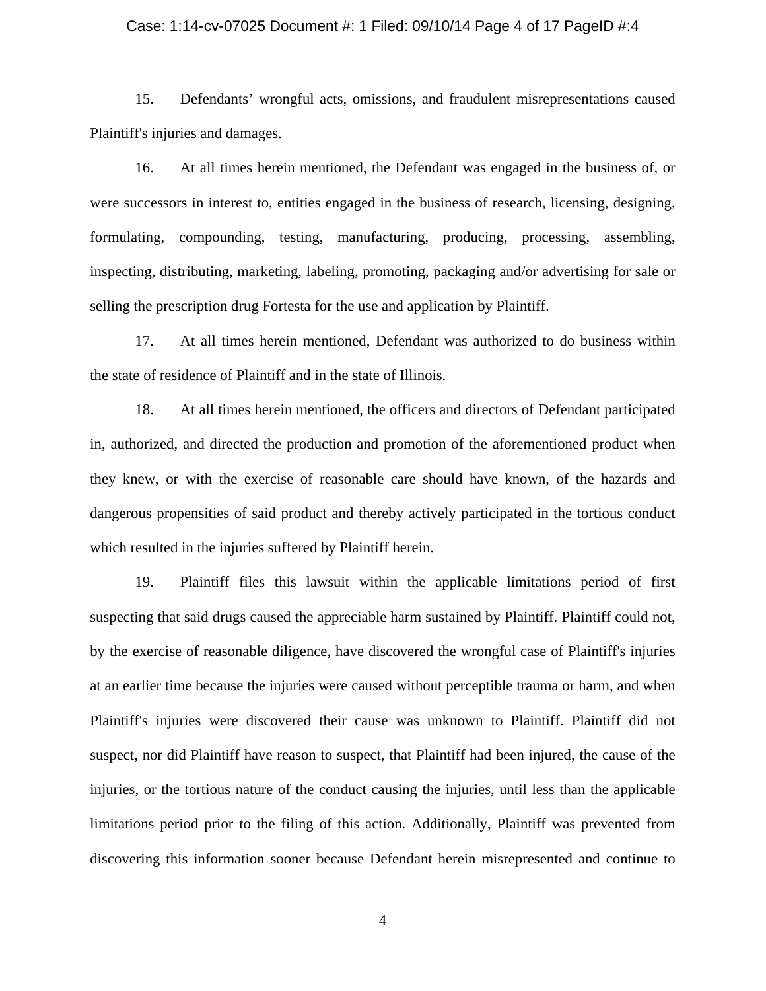### Case: 1:14-cv-07025 Document #: 1 Filed: 09/10/14 Page 4 of 17 PageID #:4

15. Defendants' wrongful acts, omissions, and fraudulent misrepresentations caused Plaintiff's injuries and damages.

16. At all times herein mentioned, the Defendant was engaged in the business of, or were successors in interest to, entities engaged in the business of research, licensing, designing, formulating, compounding, testing, manufacturing, producing, processing, assembling, inspecting, distributing, marketing, labeling, promoting, packaging and/or advertising for sale or selling the prescription drug Fortesta for the use and application by Plaintiff.

17. At all times herein mentioned, Defendant was authorized to do business within the state of residence of Plaintiff and in the state of Illinois.

18. At all times herein mentioned, the officers and directors of Defendant participated in, authorized, and directed the production and promotion of the aforementioned product when they knew, or with the exercise of reasonable care should have known, of the hazards and dangerous propensities of said product and thereby actively participated in the tortious conduct which resulted in the injuries suffered by Plaintiff herein.

19. Plaintiff files this lawsuit within the applicable limitations period of first suspecting that said drugs caused the appreciable harm sustained by Plaintiff. Plaintiff could not, by the exercise of reasonable diligence, have discovered the wrongful case of Plaintiff's injuries at an earlier time because the injuries were caused without perceptible trauma or harm, and when Plaintiff's injuries were discovered their cause was unknown to Plaintiff. Plaintiff did not suspect, nor did Plaintiff have reason to suspect, that Plaintiff had been injured, the cause of the injuries, or the tortious nature of the conduct causing the injuries, until less than the applicable limitations period prior to the filing of this action. Additionally, Plaintiff was prevented from discovering this information sooner because Defendant herein misrepresented and continue to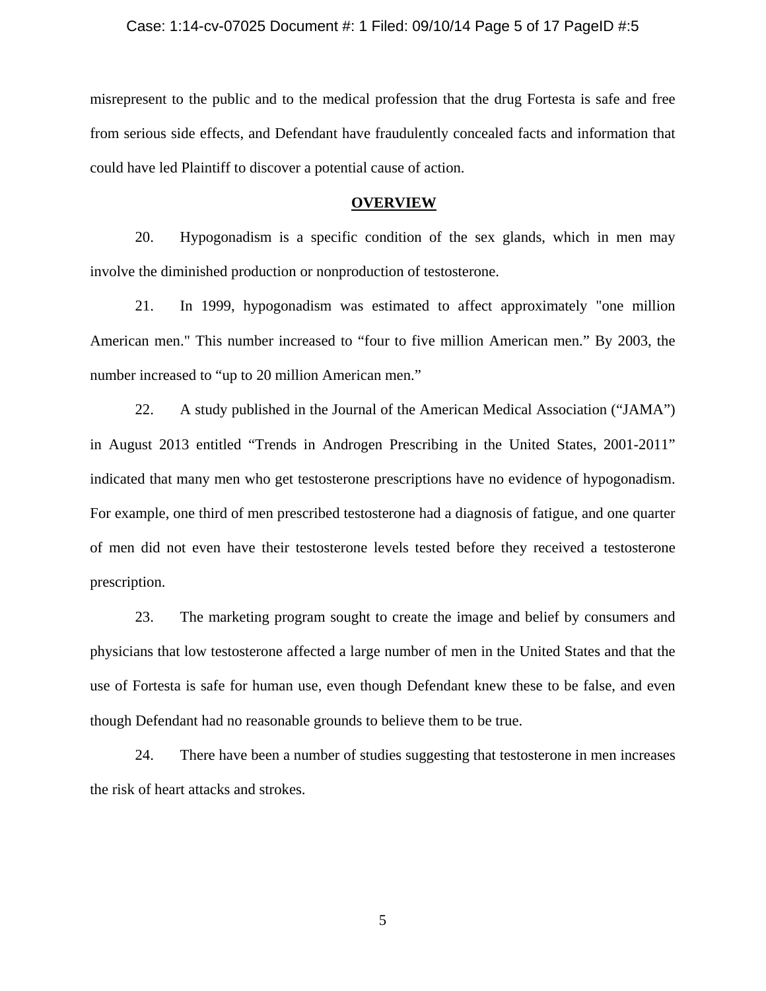### Case: 1:14-cv-07025 Document #: 1 Filed: 09/10/14 Page 5 of 17 PageID #:5

misrepresent to the public and to the medical profession that the drug Fortesta is safe and free from serious side effects, and Defendant have fraudulently concealed facts and information that could have led Plaintiff to discover a potential cause of action.

### **OVERVIEW**

20. Hypogonadism is a specific condition of the sex glands, which in men may involve the diminished production or nonproduction of testosterone.

21. In 1999, hypogonadism was estimated to affect approximately "one million American men." This number increased to "four to five million American men." By 2003, the number increased to "up to 20 million American men."

22. A study published in the Journal of the American Medical Association ("JAMA") in August 2013 entitled "Trends in Androgen Prescribing in the United States, 2001-2011" indicated that many men who get testosterone prescriptions have no evidence of hypogonadism. For example, one third of men prescribed testosterone had a diagnosis of fatigue, and one quarter of men did not even have their testosterone levels tested before they received a testosterone prescription.

23. The marketing program sought to create the image and belief by consumers and physicians that low testosterone affected a large number of men in the United States and that the use of Fortesta is safe for human use, even though Defendant knew these to be false, and even though Defendant had no reasonable grounds to believe them to be true.

24. There have been a number of studies suggesting that testosterone in men increases the risk of heart attacks and strokes.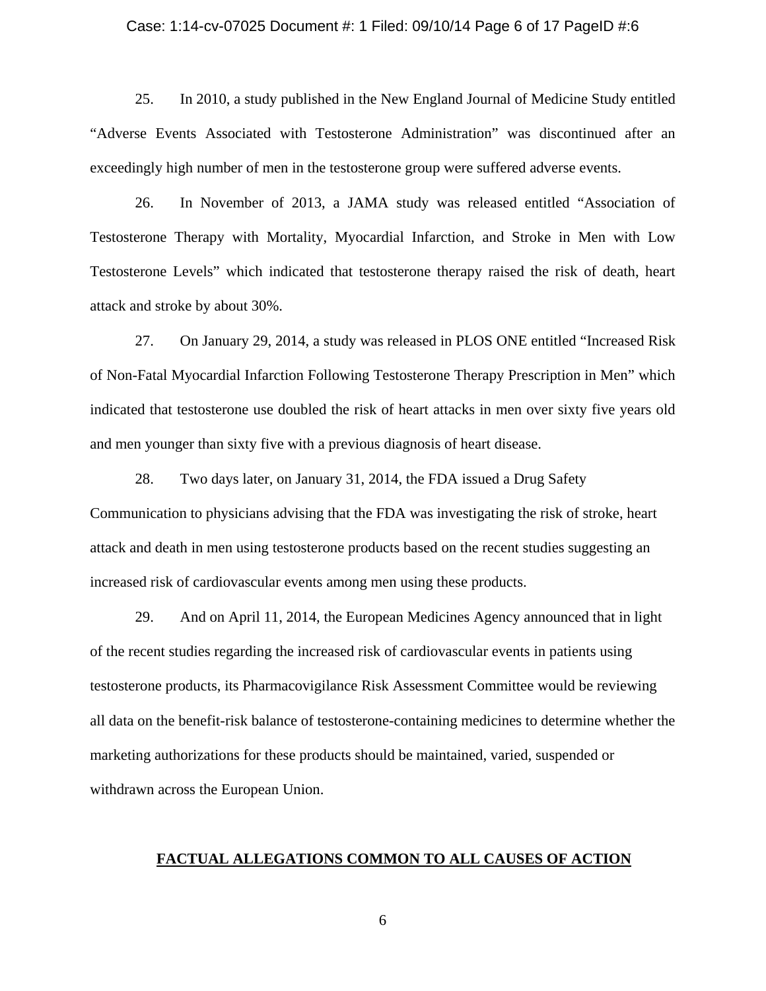### Case: 1:14-cv-07025 Document #: 1 Filed: 09/10/14 Page 6 of 17 PageID #:6

25. In 2010, a study published in the New England Journal of Medicine Study entitled "Adverse Events Associated with Testosterone Administration" was discontinued after an exceedingly high number of men in the testosterone group were suffered adverse events.

26. In November of 2013, a JAMA study was released entitled "Association of Testosterone Therapy with Mortality, Myocardial Infarction, and Stroke in Men with Low Testosterone Levels" which indicated that testosterone therapy raised the risk of death, heart attack and stroke by about 30%.

27. On January 29, 2014, a study was released in PLOS ONE entitled "Increased Risk of Non-Fatal Myocardial Infarction Following Testosterone Therapy Prescription in Men" which indicated that testosterone use doubled the risk of heart attacks in men over sixty five years old and men younger than sixty five with a previous diagnosis of heart disease.

28. Two days later, on January 31, 2014, the FDA issued a Drug Safety Communication to physicians advising that the FDA was investigating the risk of stroke, heart attack and death in men using testosterone products based on the recent studies suggesting an increased risk of cardiovascular events among men using these products.

29. And on April 11, 2014, the European Medicines Agency announced that in light of the recent studies regarding the increased risk of cardiovascular events in patients using testosterone products, its Pharmacovigilance Risk Assessment Committee would be reviewing all data on the benefit-risk balance of testosterone-containing medicines to determine whether the marketing authorizations for these products should be maintained, varied, suspended or withdrawn across the European Union.

### **FACTUAL ALLEGATIONS COMMON TO ALL CAUSES OF ACTION**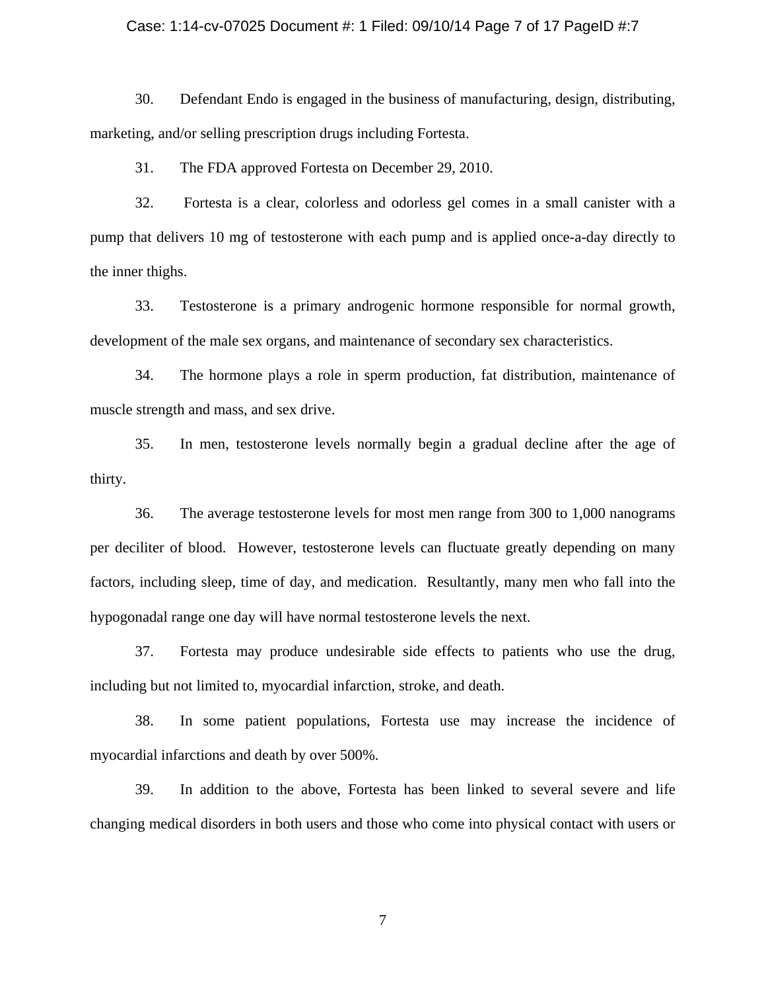### Case: 1:14-cv-07025 Document #: 1 Filed: 09/10/14 Page 7 of 17 PageID #:7

30. Defendant Endo is engaged in the business of manufacturing, design, distributing, marketing, and/or selling prescription drugs including Fortesta.

31. The FDA approved Fortesta on December 29, 2010.

32. Fortesta is a clear, colorless and odorless gel comes in a small canister with a pump that delivers 10 mg of testosterone with each pump and is applied once-a-day directly to the inner thighs.

33. Testosterone is a primary androgenic hormone responsible for normal growth, development of the male sex organs, and maintenance of secondary sex characteristics.

34. The hormone plays a role in sperm production, fat distribution, maintenance of muscle strength and mass, and sex drive.

35. In men, testosterone levels normally begin a gradual decline after the age of thirty.

36. The average testosterone levels for most men range from 300 to 1,000 nanograms per deciliter of blood. However, testosterone levels can fluctuate greatly depending on many factors, including sleep, time of day, and medication. Resultantly, many men who fall into the hypogonadal range one day will have normal testosterone levels the next.

37. Fortesta may produce undesirable side effects to patients who use the drug, including but not limited to, myocardial infarction, stroke, and death.

38. In some patient populations, Fortesta use may increase the incidence of myocardial infarctions and death by over 500%.

39. In addition to the above, Fortesta has been linked to several severe and life changing medical disorders in both users and those who come into physical contact with users or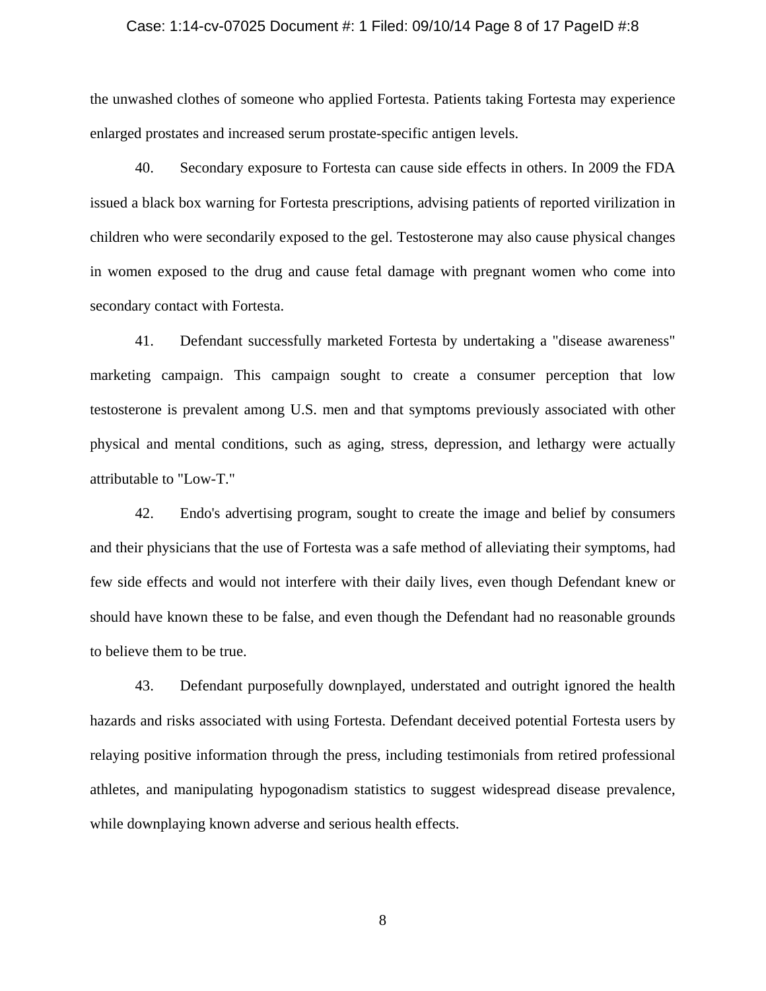#### Case: 1:14-cv-07025 Document #: 1 Filed: 09/10/14 Page 8 of 17 PageID #:8

the unwashed clothes of someone who applied Fortesta. Patients taking Fortesta may experience enlarged prostates and increased serum prostate-specific antigen levels.

40. Secondary exposure to Fortesta can cause side effects in others. In 2009 the FDA issued a black box warning for Fortesta prescriptions, advising patients of reported virilization in children who were secondarily exposed to the gel. Testosterone may also cause physical changes in women exposed to the drug and cause fetal damage with pregnant women who come into secondary contact with Fortesta.

41. Defendant successfully marketed Fortesta by undertaking a "disease awareness" marketing campaign. This campaign sought to create a consumer perception that low testosterone is prevalent among U.S. men and that symptoms previously associated with other physical and mental conditions, such as aging, stress, depression, and lethargy were actually attributable to "Low-T."

42. Endo's advertising program, sought to create the image and belief by consumers and their physicians that the use of Fortesta was a safe method of alleviating their symptoms, had few side effects and would not interfere with their daily lives, even though Defendant knew or should have known these to be false, and even though the Defendant had no reasonable grounds to believe them to be true.

43. Defendant purposefully downplayed, understated and outright ignored the health hazards and risks associated with using Fortesta. Defendant deceived potential Fortesta users by relaying positive information through the press, including testimonials from retired professional athletes, and manipulating hypogonadism statistics to suggest widespread disease prevalence, while downplaying known adverse and serious health effects.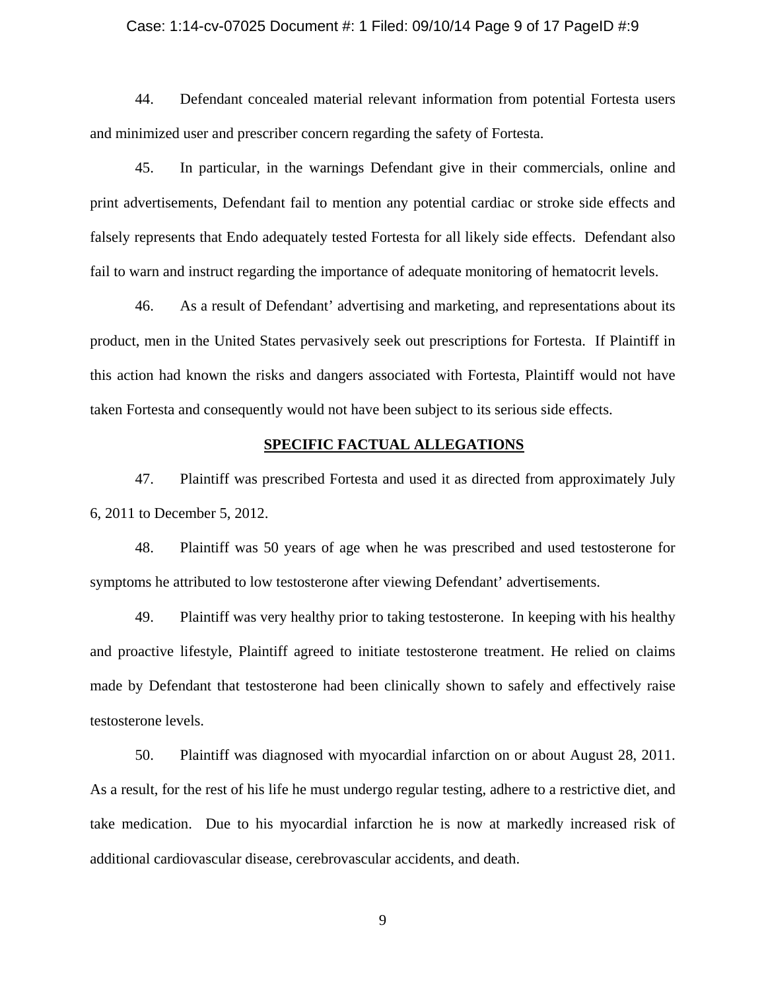### Case: 1:14-cv-07025 Document #: 1 Filed: 09/10/14 Page 9 of 17 PageID #:9

44. Defendant concealed material relevant information from potential Fortesta users and minimized user and prescriber concern regarding the safety of Fortesta.

45. In particular, in the warnings Defendant give in their commercials, online and print advertisements, Defendant fail to mention any potential cardiac or stroke side effects and falsely represents that Endo adequately tested Fortesta for all likely side effects. Defendant also fail to warn and instruct regarding the importance of adequate monitoring of hematocrit levels.

46. As a result of Defendant' advertising and marketing, and representations about its product, men in the United States pervasively seek out prescriptions for Fortesta. If Plaintiff in this action had known the risks and dangers associated with Fortesta, Plaintiff would not have taken Fortesta and consequently would not have been subject to its serious side effects.

### **SPECIFIC FACTUAL ALLEGATIONS**

47. Plaintiff was prescribed Fortesta and used it as directed from approximately July 6, 2011 to December 5, 2012.

48. Plaintiff was 50 years of age when he was prescribed and used testosterone for symptoms he attributed to low testosterone after viewing Defendant' advertisements.

49. Plaintiff was very healthy prior to taking testosterone. In keeping with his healthy and proactive lifestyle, Plaintiff agreed to initiate testosterone treatment. He relied on claims made by Defendant that testosterone had been clinically shown to safely and effectively raise testosterone levels.

50. Plaintiff was diagnosed with myocardial infarction on or about August 28, 2011. As a result, for the rest of his life he must undergo regular testing, adhere to a restrictive diet, and take medication. Due to his myocardial infarction he is now at markedly increased risk of additional cardiovascular disease, cerebrovascular accidents, and death.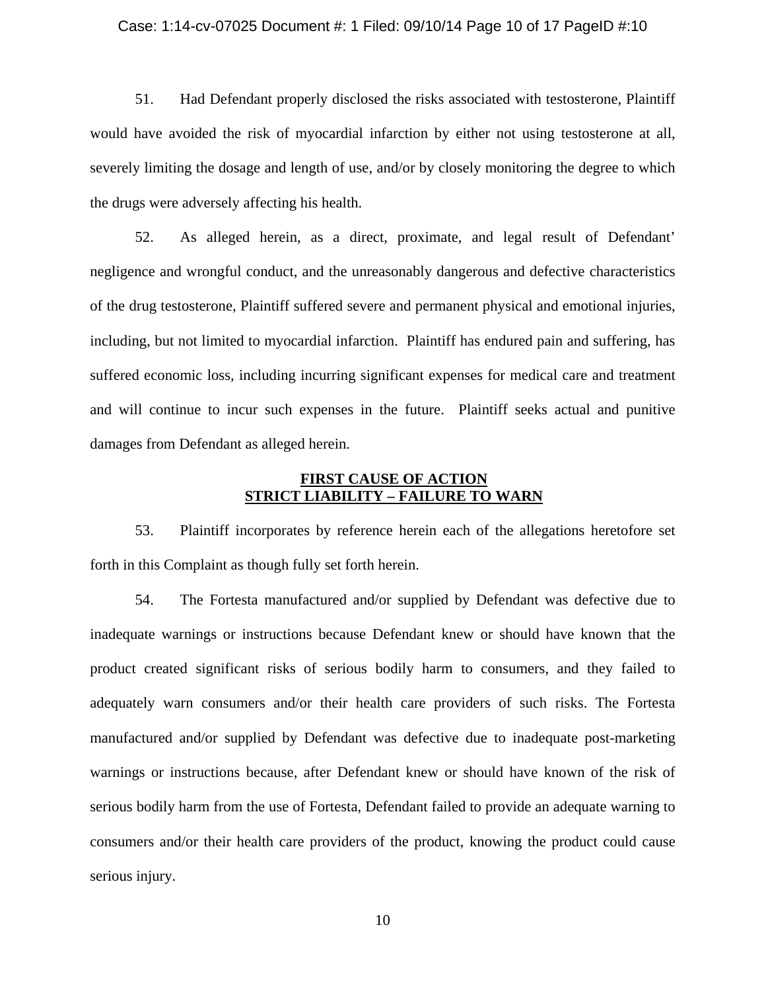#### Case: 1:14-cv-07025 Document #: 1 Filed: 09/10/14 Page 10 of 17 PageID #:10

51. Had Defendant properly disclosed the risks associated with testosterone, Plaintiff would have avoided the risk of myocardial infarction by either not using testosterone at all, severely limiting the dosage and length of use, and/or by closely monitoring the degree to which the drugs were adversely affecting his health.

52. As alleged herein, as a direct, proximate, and legal result of Defendant' negligence and wrongful conduct, and the unreasonably dangerous and defective characteristics of the drug testosterone, Plaintiff suffered severe and permanent physical and emotional injuries, including, but not limited to myocardial infarction. Plaintiff has endured pain and suffering, has suffered economic loss, including incurring significant expenses for medical care and treatment and will continue to incur such expenses in the future. Plaintiff seeks actual and punitive damages from Defendant as alleged herein.

## **FIRST CAUSE OF ACTION STRICT LIABILITY – FAILURE TO WARN**

53. Plaintiff incorporates by reference herein each of the allegations heretofore set forth in this Complaint as though fully set forth herein.

54. The Fortesta manufactured and/or supplied by Defendant was defective due to inadequate warnings or instructions because Defendant knew or should have known that the product created significant risks of serious bodily harm to consumers, and they failed to adequately warn consumers and/or their health care providers of such risks. The Fortesta manufactured and/or supplied by Defendant was defective due to inadequate post-marketing warnings or instructions because, after Defendant knew or should have known of the risk of serious bodily harm from the use of Fortesta, Defendant failed to provide an adequate warning to consumers and/or their health care providers of the product, knowing the product could cause serious injury.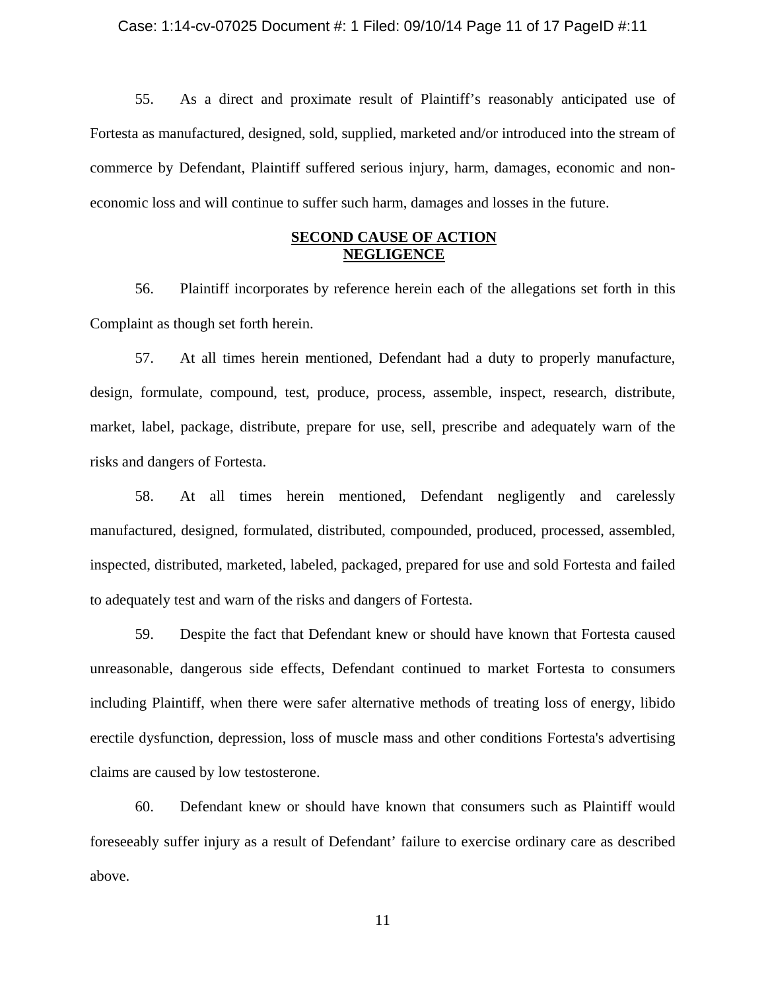### Case: 1:14-cv-07025 Document #: 1 Filed: 09/10/14 Page 11 of 17 PageID #:11

55. As a direct and proximate result of Plaintiff's reasonably anticipated use of Fortesta as manufactured, designed, sold, supplied, marketed and/or introduced into the stream of commerce by Defendant, Plaintiff suffered serious injury, harm, damages, economic and noneconomic loss and will continue to suffer such harm, damages and losses in the future.

## **SECOND CAUSE OF ACTION NEGLIGENCE**

56. Plaintiff incorporates by reference herein each of the allegations set forth in this Complaint as though set forth herein.

57. At all times herein mentioned, Defendant had a duty to properly manufacture, design, formulate, compound, test, produce, process, assemble, inspect, research, distribute, market, label, package, distribute, prepare for use, sell, prescribe and adequately warn of the risks and dangers of Fortesta.

58. At all times herein mentioned, Defendant negligently and carelessly manufactured, designed, formulated, distributed, compounded, produced, processed, assembled, inspected, distributed, marketed, labeled, packaged, prepared for use and sold Fortesta and failed to adequately test and warn of the risks and dangers of Fortesta.

59. Despite the fact that Defendant knew or should have known that Fortesta caused unreasonable, dangerous side effects, Defendant continued to market Fortesta to consumers including Plaintiff, when there were safer alternative methods of treating loss of energy, libido erectile dysfunction, depression, loss of muscle mass and other conditions Fortesta's advertising claims are caused by low testosterone.

60. Defendant knew or should have known that consumers such as Plaintiff would foreseeably suffer injury as a result of Defendant' failure to exercise ordinary care as described above.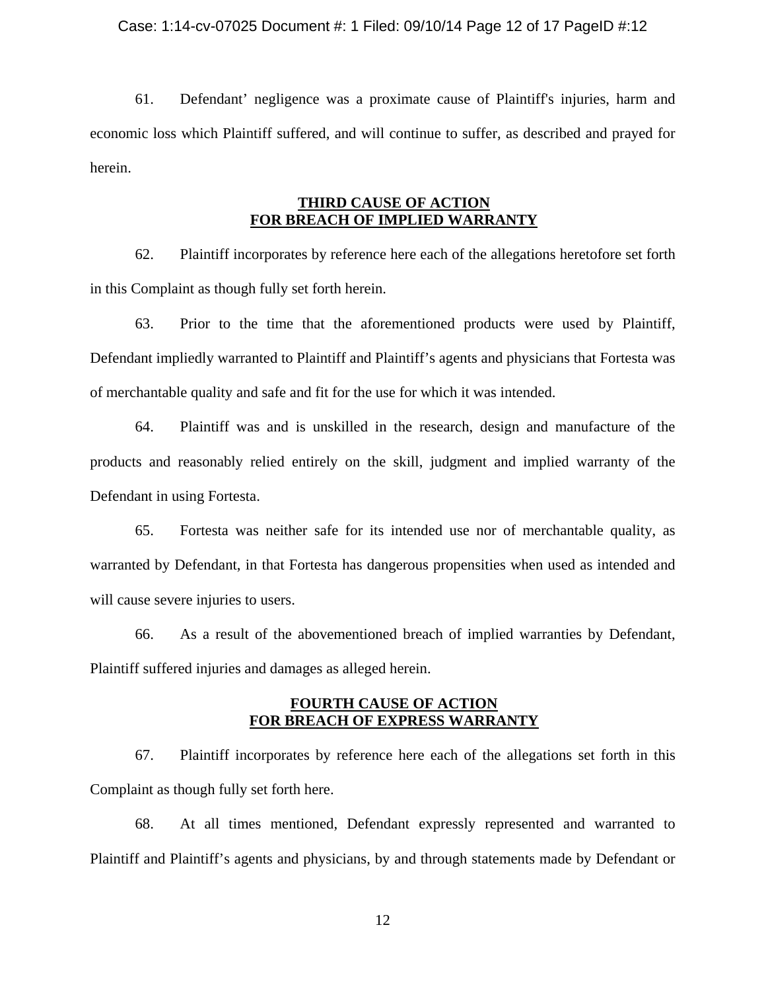### Case: 1:14-cv-07025 Document #: 1 Filed: 09/10/14 Page 12 of 17 PageID #:12

61. Defendant' negligence was a proximate cause of Plaintiff's injuries, harm and economic loss which Plaintiff suffered, and will continue to suffer, as described and prayed for herein.

# **THIRD CAUSE OF ACTION FOR BREACH OF IMPLIED WARRANTY**

62. Plaintiff incorporates by reference here each of the allegations heretofore set forth in this Complaint as though fully set forth herein.

63. Prior to the time that the aforementioned products were used by Plaintiff, Defendant impliedly warranted to Plaintiff and Plaintiff's agents and physicians that Fortesta was of merchantable quality and safe and fit for the use for which it was intended.

64. Plaintiff was and is unskilled in the research, design and manufacture of the products and reasonably relied entirely on the skill, judgment and implied warranty of the Defendant in using Fortesta.

65. Fortesta was neither safe for its intended use nor of merchantable quality, as warranted by Defendant, in that Fortesta has dangerous propensities when used as intended and will cause severe injuries to users.

66. As a result of the abovementioned breach of implied warranties by Defendant, Plaintiff suffered injuries and damages as alleged herein.

## **FOURTH CAUSE OF ACTION FOR BREACH OF EXPRESS WARRANTY**

67. Plaintiff incorporates by reference here each of the allegations set forth in this Complaint as though fully set forth here.

68. At all times mentioned, Defendant expressly represented and warranted to Plaintiff and Plaintiff's agents and physicians, by and through statements made by Defendant or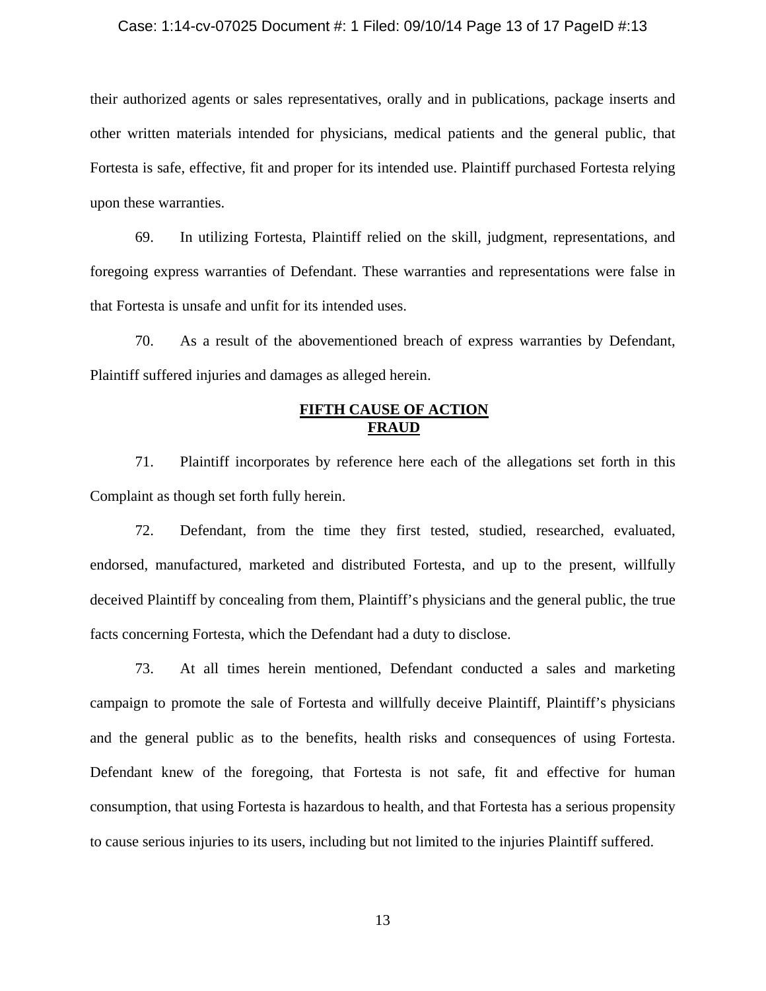#### Case: 1:14-cv-07025 Document #: 1 Filed: 09/10/14 Page 13 of 17 PageID #:13

their authorized agents or sales representatives, orally and in publications, package inserts and other written materials intended for physicians, medical patients and the general public, that Fortesta is safe, effective, fit and proper for its intended use. Plaintiff purchased Fortesta relying upon these warranties.

69. In utilizing Fortesta, Plaintiff relied on the skill, judgment, representations, and foregoing express warranties of Defendant. These warranties and representations were false in that Fortesta is unsafe and unfit for its intended uses.

70. As a result of the abovementioned breach of express warranties by Defendant, Plaintiff suffered injuries and damages as alleged herein.

## **FIFTH CAUSE OF ACTION FRAUD**

71. Plaintiff incorporates by reference here each of the allegations set forth in this Complaint as though set forth fully herein.

72. Defendant, from the time they first tested, studied, researched, evaluated, endorsed, manufactured, marketed and distributed Fortesta, and up to the present, willfully deceived Plaintiff by concealing from them, Plaintiff's physicians and the general public, the true facts concerning Fortesta, which the Defendant had a duty to disclose.

73. At all times herein mentioned, Defendant conducted a sales and marketing campaign to promote the sale of Fortesta and willfully deceive Plaintiff, Plaintiff's physicians and the general public as to the benefits, health risks and consequences of using Fortesta. Defendant knew of the foregoing, that Fortesta is not safe, fit and effective for human consumption, that using Fortesta is hazardous to health, and that Fortesta has a serious propensity to cause serious injuries to its users, including but not limited to the injuries Plaintiff suffered.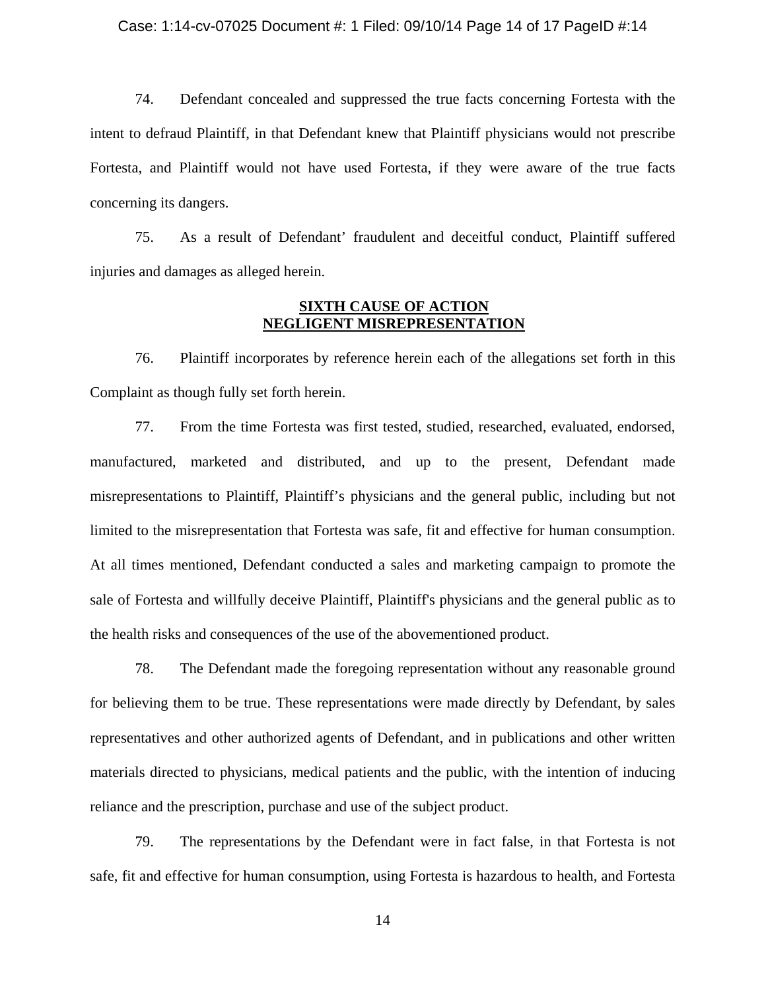#### Case: 1:14-cv-07025 Document #: 1 Filed: 09/10/14 Page 14 of 17 PageID #:14

74. Defendant concealed and suppressed the true facts concerning Fortesta with the intent to defraud Plaintiff, in that Defendant knew that Plaintiff physicians would not prescribe Fortesta, and Plaintiff would not have used Fortesta, if they were aware of the true facts concerning its dangers.

75. As a result of Defendant' fraudulent and deceitful conduct, Plaintiff suffered injuries and damages as alleged herein.

# **SIXTH CAUSE OF ACTION NEGLIGENT MISREPRESENTATION**

76. Plaintiff incorporates by reference herein each of the allegations set forth in this Complaint as though fully set forth herein.

77. From the time Fortesta was first tested, studied, researched, evaluated, endorsed, manufactured, marketed and distributed, and up to the present, Defendant made misrepresentations to Plaintiff, Plaintiff's physicians and the general public, including but not limited to the misrepresentation that Fortesta was safe, fit and effective for human consumption. At all times mentioned, Defendant conducted a sales and marketing campaign to promote the sale of Fortesta and willfully deceive Plaintiff, Plaintiff's physicians and the general public as to the health risks and consequences of the use of the abovementioned product.

78. The Defendant made the foregoing representation without any reasonable ground for believing them to be true. These representations were made directly by Defendant, by sales representatives and other authorized agents of Defendant, and in publications and other written materials directed to physicians, medical patients and the public, with the intention of inducing reliance and the prescription, purchase and use of the subject product.

79. The representations by the Defendant were in fact false, in that Fortesta is not safe, fit and effective for human consumption, using Fortesta is hazardous to health, and Fortesta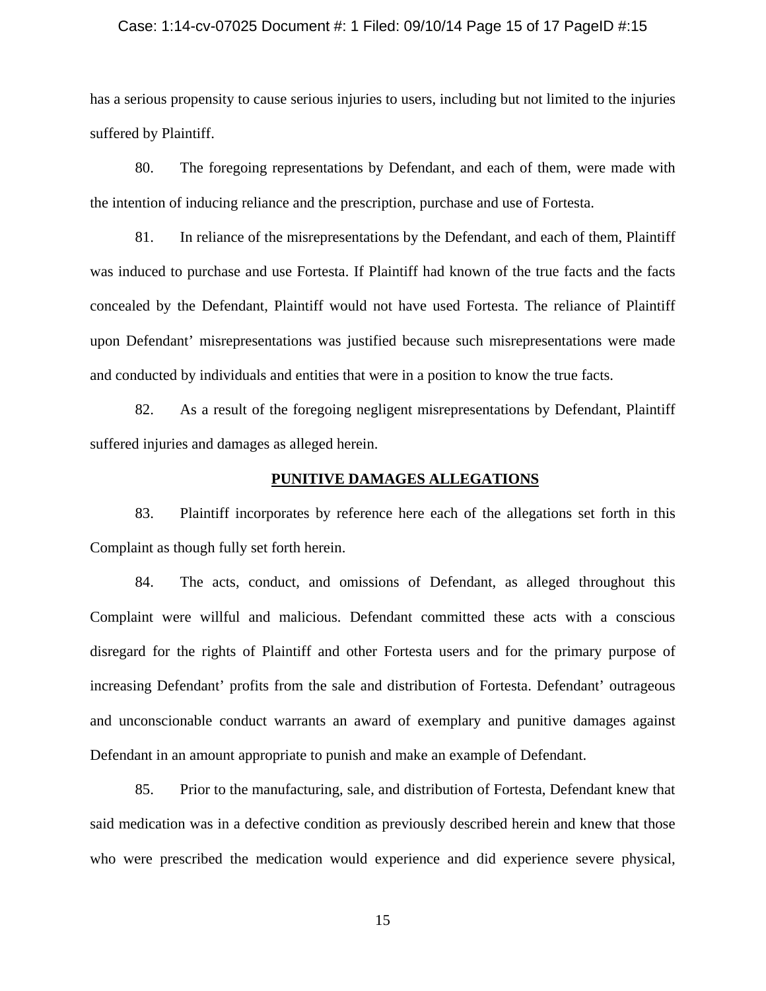#### Case: 1:14-cv-07025 Document #: 1 Filed: 09/10/14 Page 15 of 17 PageID #:15

has a serious propensity to cause serious injuries to users, including but not limited to the injuries suffered by Plaintiff.

80. The foregoing representations by Defendant, and each of them, were made with the intention of inducing reliance and the prescription, purchase and use of Fortesta.

81. In reliance of the misrepresentations by the Defendant, and each of them, Plaintiff was induced to purchase and use Fortesta. If Plaintiff had known of the true facts and the facts concealed by the Defendant, Plaintiff would not have used Fortesta. The reliance of Plaintiff upon Defendant' misrepresentations was justified because such misrepresentations were made and conducted by individuals and entities that were in a position to know the true facts.

82. As a result of the foregoing negligent misrepresentations by Defendant, Plaintiff suffered injuries and damages as alleged herein.

## **PUNITIVE DAMAGES ALLEGATIONS**

83. Plaintiff incorporates by reference here each of the allegations set forth in this Complaint as though fully set forth herein.

84. The acts, conduct, and omissions of Defendant, as alleged throughout this Complaint were willful and malicious. Defendant committed these acts with a conscious disregard for the rights of Plaintiff and other Fortesta users and for the primary purpose of increasing Defendant' profits from the sale and distribution of Fortesta. Defendant' outrageous and unconscionable conduct warrants an award of exemplary and punitive damages against Defendant in an amount appropriate to punish and make an example of Defendant.

85. Prior to the manufacturing, sale, and distribution of Fortesta, Defendant knew that said medication was in a defective condition as previously described herein and knew that those who were prescribed the medication would experience and did experience severe physical,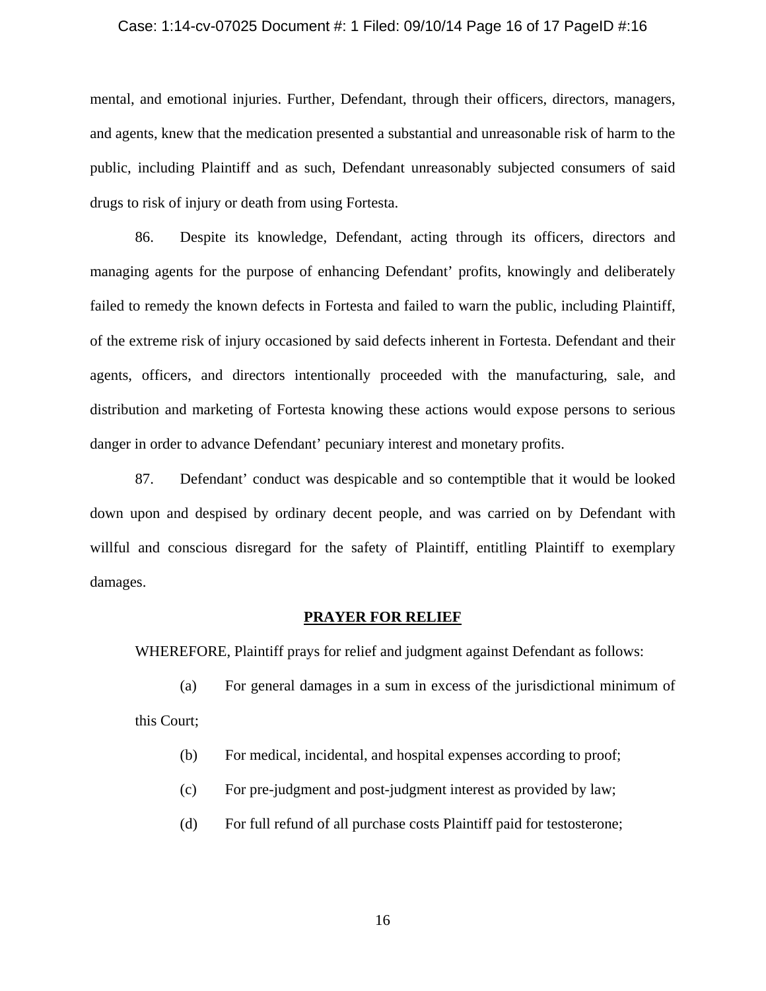#### Case: 1:14-cv-07025 Document #: 1 Filed: 09/10/14 Page 16 of 17 PageID #:16

mental, and emotional injuries. Further, Defendant, through their officers, directors, managers, and agents, knew that the medication presented a substantial and unreasonable risk of harm to the public, including Plaintiff and as such, Defendant unreasonably subjected consumers of said drugs to risk of injury or death from using Fortesta.

86. Despite its knowledge, Defendant, acting through its officers, directors and managing agents for the purpose of enhancing Defendant' profits, knowingly and deliberately failed to remedy the known defects in Fortesta and failed to warn the public, including Plaintiff, of the extreme risk of injury occasioned by said defects inherent in Fortesta. Defendant and their agents, officers, and directors intentionally proceeded with the manufacturing, sale, and distribution and marketing of Fortesta knowing these actions would expose persons to serious danger in order to advance Defendant' pecuniary interest and monetary profits.

87. Defendant' conduct was despicable and so contemptible that it would be looked down upon and despised by ordinary decent people, and was carried on by Defendant with willful and conscious disregard for the safety of Plaintiff, entitling Plaintiff to exemplary damages.

### **PRAYER FOR RELIEF**

WHEREFORE, Plaintiff prays for relief and judgment against Defendant as follows:

- (a) For general damages in a sum in excess of the jurisdictional minimum of this Court;
	- (b) For medical, incidental, and hospital expenses according to proof;
	- (c) For pre-judgment and post-judgment interest as provided by law;
	- (d) For full refund of all purchase costs Plaintiff paid for testosterone;